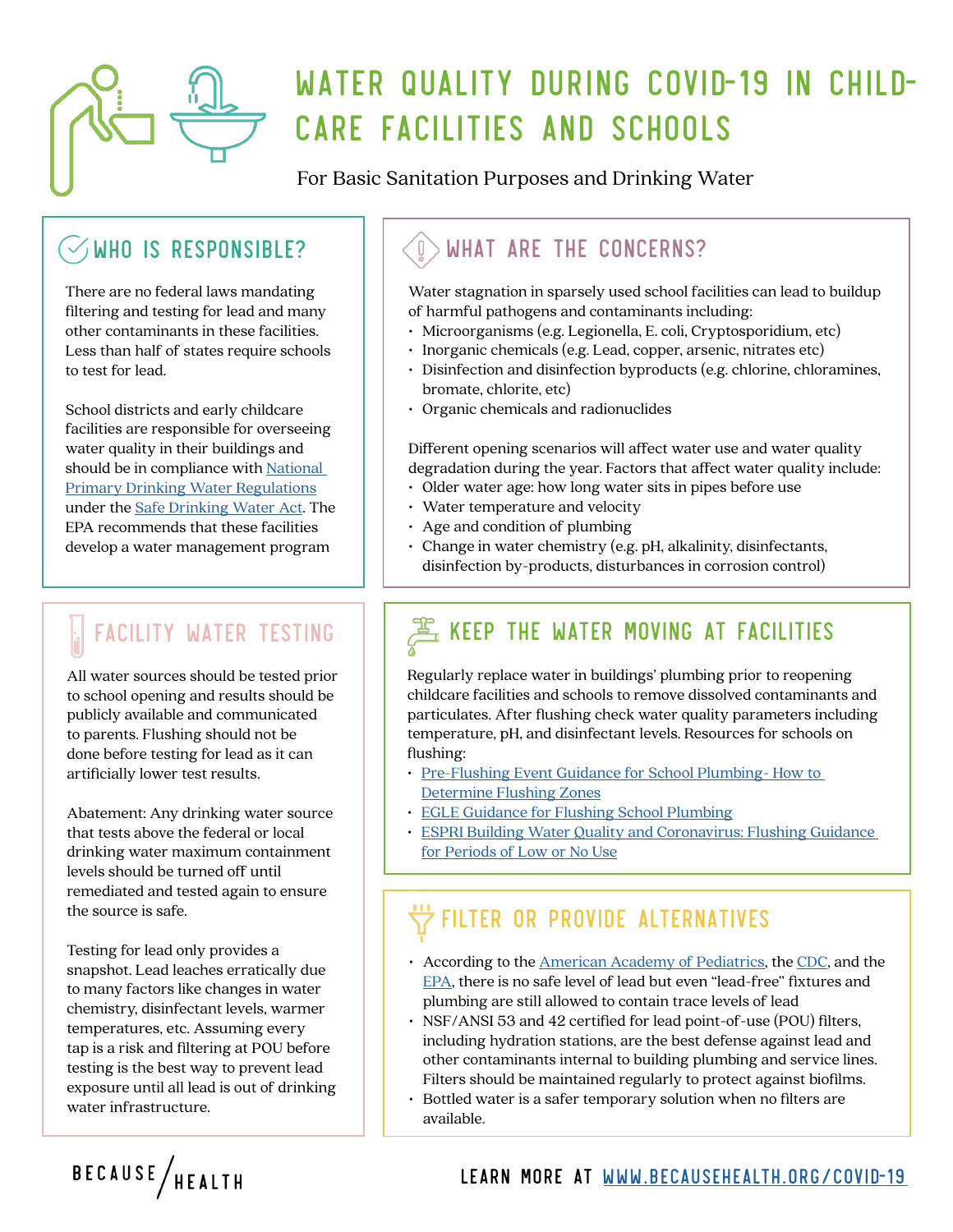

# WATER QUALITY DURING COVID-19 IN CHILD-CARE FACILITIES AND SCHOOLS

For Basic Sanitation Purposes and Drinking Water

#### WHO IS RESPONSIBLE?

There are no federal laws mandating filtering and testing for lead and many other contaminants in these facilities. Less than half of states require schools to test for lead.

School districts and early childcare facilities are responsible for overseeing water quality in their buildings and should be in compliance with National [Primary Drinking Water Regulations](https://www.epa.gov/ground-water-and-drinking-water/national-primary-drinking-water-regulations#Disinfectants) under the [Safe Drinking Water Act.](https://www.epa.gov/laws-regulations/summary-safe-drinking-water-act) The EPA recommends that these facilities develop a water management program

## FACILITY WATER TESTING

All water sources should be tested prior to school opening and results should be publicly available and communicated to parents. Flushing should not be done before testing for lead as it can artificially lower test results.

Abatement: Any drinking water source that tests above the federal or local drinking water maximum containment levels should be turned off until remediated and tested again to ensure the source is safe.

Testing for lead only provides a snapshot. Lead leaches erratically due to many factors like changes in water chemistry, disinfectant levels, warmer temperatures, etc. Assuming every tap is a risk and filtering at POU before testing is the best way to prevent lead exposure until all lead is out of drinking water infrastructure.

### WHAT ARE THE CONCERNS?

Water stagnation in sparsely used school facilities can lead to buildup of harmful pathogens and contaminants including:

- Microorganisms (e.g. Legionella, E. coli, Cryptosporidium, etc)
- Inorganic chemicals (e.g. Lead, copper, arsenic, nitrates etc)
- Disinfection and disinfection byproducts (e.g. chlorine, chloramines, bromate, chlorite, etc)
- Organic chemicals and radionuclides

Different opening scenarios will affect water use and water quality degradation during the year. Factors that affect water quality include:

- Older water age: how long water sits in pipes before use
- Water temperature and velocity
- Age and condition of plumbing
- Change in water chemistry (e.g. pH, alkalinity, disinfectants, disinfection by-products, disturbances in corrosion control)

### **BE KEEP THE WATER MOVING AT FACILITIES**

Regularly replace water in buildings' plumbing prior to reopening childcare facilities and schools to remove dissolved contaminants and particulates. After flushing check water quality parameters including temperature, pH, and disinfectant levels. Resources for schools on flushing:

- [Pre-Flushing Event Guidance for School Plumbing- How to](https://www.michigan.gov/documents/egle/egle-dwehd-1-egle_guidance_for_zone_determination_683933_7.pdf)  [Determine Flushing Zones](https://www.michigan.gov/documents/egle/egle-dwehd-1-egle_guidance_for_zone_determination_683933_7.pdf)
- [EGLE Guidance for Flushing School Plumbing](https://www.michigan.gov/documents/egle/egle-dwehd-2-egle_protocol_flushing_schools_and_facilities_683936_7.pdf)
- [ESPRI Building Water Quality and Coronavirus: Flushing Guidance](file:https://esprinstitute.org/wp-content/uploads/2020/04/FINAL_Coronavirus-Building-Flushing-Guidance-20200403-rev-1.pdf)  [for Periods of Low or No Use](file:https://esprinstitute.org/wp-content/uploads/2020/04/FINAL_Coronavirus-Building-Flushing-Guidance-20200403-rev-1.pdf)

#### FILTER OR PROVIDE ALTERNATIVES

- According to the **[American Academy of Pediatrics](https://www.aap.org/en-us/advocacy-and-policy/aap-health-initiatives/lead-exposure/Pages/Lead-Exposure-in-Children.aspx)**, the [CDC,](https://www.cdc.gov/nceh/lead/default.htm) and the [EPA](https://www.epa.gov/ground-water-and-drinking-water/basic-information-about-lead-drinking-water), there is no safe level of lead but even "lead-free" fixtures and plumbing are still allowed to contain trace levels of lead
- NSF/ANSI 53 and 42 certified for lead point-of-use (POU) filters, including hydration stations, are the best defense against lead and other contaminants internal to building plumbing and service lines. Filters should be maintained regularly to protect against biofilms.
- Bottled water is a safer temporary solution when no filters are available.

#### LEARN MORE AT [WWW.BECAUSEHEALTH.ORG/COVID-19](http://WWW.BECAUSEHEALTH.ORG/covid-19)